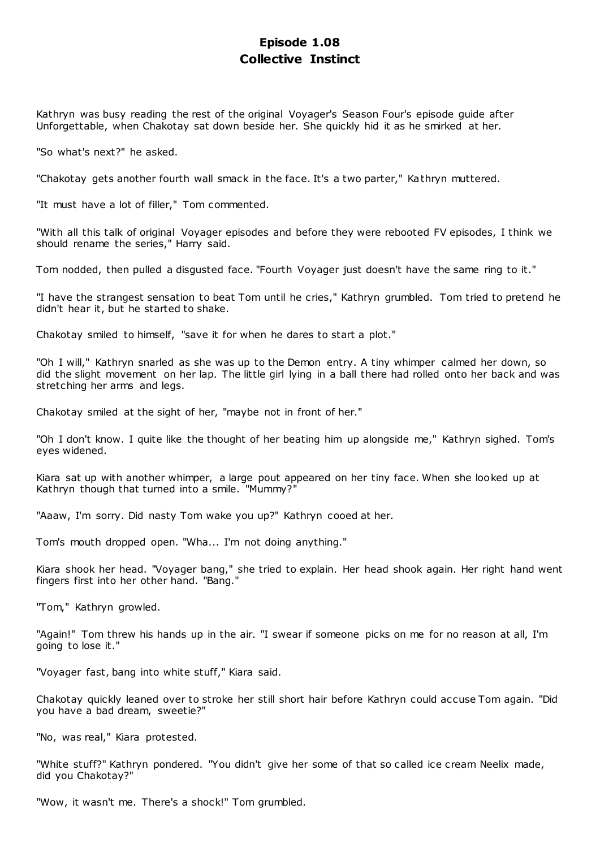# **Episode 1.08 Collective Instinct**

Kathryn was busy reading the rest of the original Voyager's Season Four's episode guide after Unforgettable, when Chakotay sat down beside her. She quickly hid it as he smirked at her.

"So what's next?" he asked.

"Chakotay gets another fourth wall smack in the face. It's a two parter," Kathryn muttered.

"It must have a lot of filler," Tom commented.

"With all this talk of original Voyager episodes and before they were rebooted FV episodes, I think we should rename the series," Harry said.

Tom nodded, then pulled a disgusted face. "Fourth Voyager just doesn't have the same ring to it."

"I have the strangest sensation to beat Tom until he cries," Kathryn grumbled. Tom tried to pretend he didn't hear it, but he started to shake.

Chakotay smiled to himself, "save it for when he dares to start a plot."

"Oh I will," Kathryn snarled as she was up to the Demon entry. A tiny whimper calmed her down, so did the slight movement on her lap. The little girl lying in a ball there had rolled onto her back and was stretching her arms and legs.

Chakotay smiled at the sight of her, "maybe not in front of her."

"Oh I don't know. I quite like the thought of her beating him up alongside me," Kathryn sighed. Tom's eyes widened.

Kiara sat up with another whimper, a large pout appeared on her tiny face. When she looked up at Kathryn though that turned into a smile. "Mummy?"

"Aaaw, I'm sorry. Did nasty Tom wake you up?" Kathryn cooed at her.

Tom's mouth dropped open. "Wha... I'm not doing anything."

Kiara shook her head. "Voyager bang," she tried to explain. Her head shook again. Her right hand went fingers first into her other hand. "Bang."

"Tom," Kathryn growled.

"Again!" Tom threw his hands up in the air. "I swear if someone picks on me for no reason at all, I'm going to lose it."

"Voyager fast, bang into white stuff," Kiara said.

Chakotay quickly leaned over to stroke her still short hair before Kathryn could accuse Tom again. "Did you have a bad dream, sweetie?"

"No, was real," Kiara protested.

"White stuff?" Kathryn pondered. "You didn't give her some of that so called ice cream Neelix made, did you Chakotay?"

"Wow, it wasn't me. There's a shock!" Tom grumbled.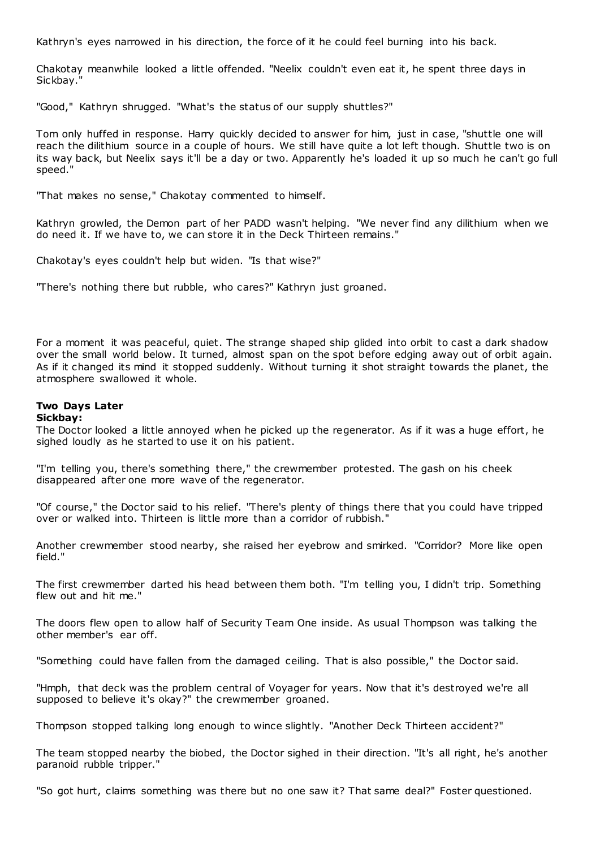Kathryn's eyes narrowed in his direction, the force of it he could feel burning into his back.

Chakotay meanwhile looked a little offended. "Neelix couldn't even eat it, he spent three days in Sickbay."

"Good," Kathryn shrugged. "What's the status of our supply shuttles?"

Tom only huffed in response. Harry quickly decided to answer for him, just in case, "shuttle one will reach the dilithium source in a couple of hours. We still have quite a lot left though. Shuttle two is on its way back, but Neelix says it'll be a day or two. Apparently he's loaded it up so much he can't go full speed."

"That makes no sense," Chakotay commented to himself.

Kathryn growled, the Demon part of her PADD wasn't helping. "We never find any dilithium when we do need it. If we have to, we can store it in the Deck Thirteen remains."

Chakotay's eyes couldn't help but widen. "Is that wise?"

"There's nothing there but rubble, who cares?" Kathryn just groaned.

For a moment it was peaceful, quiet. The strange shaped ship glided into orbit to cast a dark shadow over the small world below. It turned, almost span on the spot before edging away out of orbit again. As if it changed its mind it stopped suddenly. Without turning it shot straight towards the planet, the atmosphere swallowed it whole.

# **Two Days Later**

#### **Sickbay:**

The Doctor looked a little annoyed when he picked up the regenerator. As if it was a huge effort, he sighed loudly as he started to use it on his patient.

"I'm telling you, there's something there," the crewmember protested. The gash on his cheek disappeared after one more wave of the regenerator.

"Of course," the Doctor said to his relief. "There's plenty of things there that you could have tripped over or walked into. Thirteen is little more than a corridor of rubbish."

Another crewmember stood nearby, she raised her eyebrow and smirked. "Corridor? More like open field."

The first crewmember darted his head between them both. "I'm telling you, I didn't trip. Something flew out and hit me."

The doors flew open to allow half of Security Team One inside. As usual Thompson was talking the other member's ear off.

"Something could have fallen from the damaged ceiling. That is also possible," the Doctor said.

"Hmph, that deck was the problem central of Voyager for years. Now that it's destroyed we're all supposed to believe it's okay?" the crewmember groaned.

Thompson stopped talking long enough to wince slightly. "Another Deck Thirteen accident?"

The team stopped nearby the biobed, the Doctor sighed in their direction. "It's all right, he's another paranoid rubble tripper."

"So got hurt, claims something was there but no one saw it? That same deal?" Foster questioned.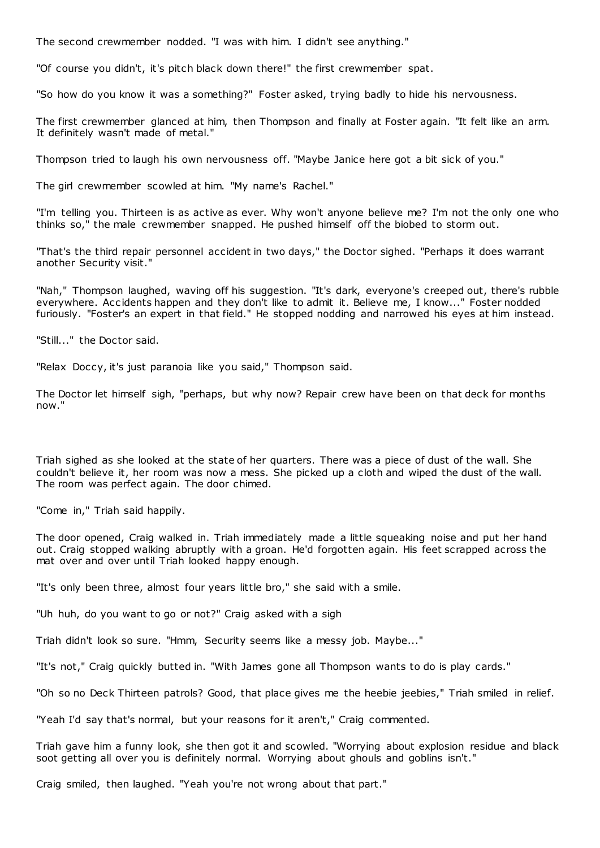The second crewmember nodded. "I was with him. I didn't see anything."

"Of course you didn't, it's pitch black down there!" the first crewmember spat.

"So how do you know it was a something?" Foster asked, trying badly to hide his nervousness.

The first crewmember glanced at him, then Thompson and finally at Foster again. "It felt like an arm. It definitely wasn't made of metal."

Thompson tried to laugh his own nervousness off. "Maybe Janice here got a bit sick of you."

The girl crewmember scowled at him. "My name's Rachel."

"I'm telling you. Thirteen is as active as ever. Why won't anyone believe me? I'm not the only one who thinks so," the male crewmember snapped. He pushed himself off the biobed to storm out.

"That's the third repair personnel accident in two days," the Doctor sighed. "Perhaps it does warrant another Security visit."

"Nah," Thompson laughed, waving off his suggestion. "It's dark, everyone's creeped out, there's rubble everywhere. Accidents happen and they don't like to admit it. Believe me, I know..." Foster nodded furiously. "Foster's an expert in that field." He stopped nodding and narrowed his eyes at him instead.

"Still..." the Doctor said.

"Relax Doccy, it's just paranoia like you said," Thompson said.

The Doctor let himself sigh, "perhaps, but why now? Repair crew have been on that deck for months now."

Triah sighed as she looked at the state of her quarters. There was a piece of dust of the wall. She couldn't believe it, her room was now a mess. She picked up a cloth and wiped the dust of the wall. The room was perfect again. The door chimed.

"Come in," Triah said happily.

The door opened, Craig walked in. Triah immediately made a little squeaking noise and put her hand out. Craig stopped walking abruptly with a groan. He'd forgotten again. His feet scrapped across the mat over and over until Triah looked happy enough.

"It's only been three, almost four years little bro," she said with a smile.

"Uh huh, do you want to go or not?" Craig asked with a sigh

Triah didn't look so sure. "Hmm, Security seems like a messy job. Maybe..."

"It's not," Craig quickly butted in. "With James gone all Thompson wants to do is play cards."

"Oh so no Deck Thirteen patrols? Good, that place gives me the heebie jeebies," Triah smiled in relief.

"Yeah I'd say that's normal, but your reasons for it aren't," Craig commented.

Triah gave him a funny look, she then got it and scowled. "Worrying about explosion residue and black soot getting all over you is definitely normal. Worrying about ghouls and goblins isn't."

Craig smiled, then laughed. "Yeah you're not wrong about that part."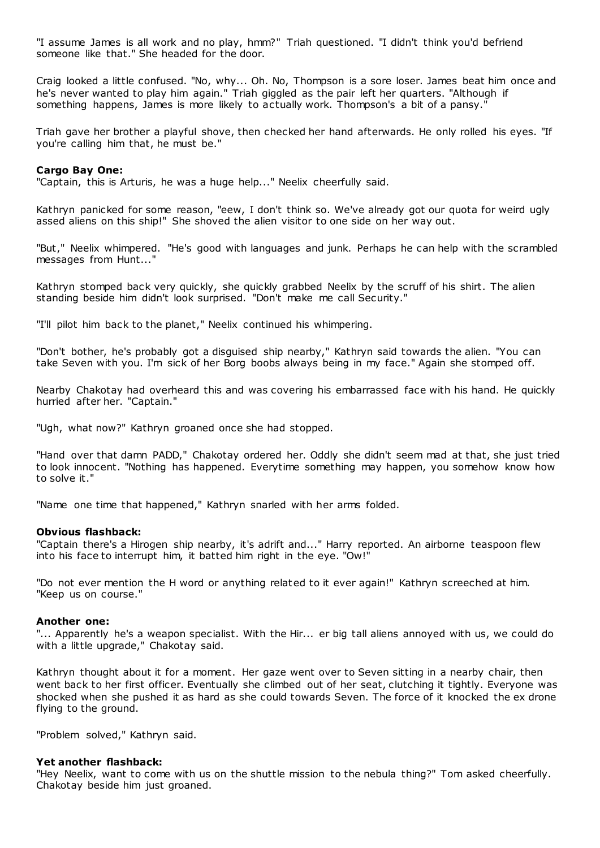"I assume James is all work and no play, hmm?" Triah questioned. "I didn't think you'd befriend someone like that." She headed for the door.

Craig looked a little confused. "No, why... Oh. No, Thompson is a sore loser. James beat him once and he's never wanted to play him again." Triah giggled as the pair left her quarters. "Although if something happens, James is more likely to actually work. Thompson's a bit of a pansy."

Triah gave her brother a playful shove, then checked her hand afterwards. He only rolled his eyes. "If you're calling him that, he must be."

#### **Cargo Bay One:**

"Captain, this is Arturis, he was a huge help..." Neelix cheerfully said.

Kathryn panicked for some reason, "eew, I don't think so. We've already got our quota for weird ugly assed aliens on this ship!" She shoved the alien visitor to one side on her way out.

"But," Neelix whimpered. "He's good with languages and junk. Perhaps he can help with the scrambled messages from Hunt..."

Kathryn stomped back very quickly, she quickly grabbed Neelix by the scruff of his shirt. The alien standing beside him didn't look surprised. "Don't make me call Security."

"I'll pilot him back to the planet," Neelix continued his whimpering.

"Don't bother, he's probably got a disguised ship nearby," Kathryn said towards the alien. "You can take Seven with you. I'm sick of her Borg boobs always being in my face." Again she stomped off.

Nearby Chakotay had overheard this and was covering his embarrassed face with his hand. He quickly hurried after her. "Captain."

"Ugh, what now?" Kathryn groaned once she had stopped.

"Hand over that damn PADD," Chakotay ordered her. Oddly she didn't seem mad at that, she just tried to look innocent. "Nothing has happened. Everytime something may happen, you somehow know how to solve it."

"Name one time that happened," Kathryn snarled with her arms folded.

#### **Obvious flashback:**

"Captain there's a Hirogen ship nearby, it's adrift and..." Harry reported. An airborne teaspoon flew into his face to interrupt him, it batted him right in the eye. "Ow!"

"Do not ever mention the H word or anything related to it ever again!" Kathryn screeched at him. "Keep us on course."

#### **Another one:**

"... Apparently he's a weapon specialist. With the Hir... er big tall aliens annoyed with us, we could do with a little upgrade," Chakotay said.

Kathryn thought about it for a moment. Her gaze went over to Seven sitting in a nearby chair, then went back to her first officer. Eventually she climbed out of her seat, clutching it tightly. Everyone was shocked when she pushed it as hard as she could towards Seven. The force of it knocked the ex drone flying to the ground.

"Problem solved," Kathryn said.

#### **Yet another flashback:**

"Hey Neelix, want to come with us on the shuttle mission to the nebula thing?" Tom asked cheerfully. Chakotay beside him just groaned.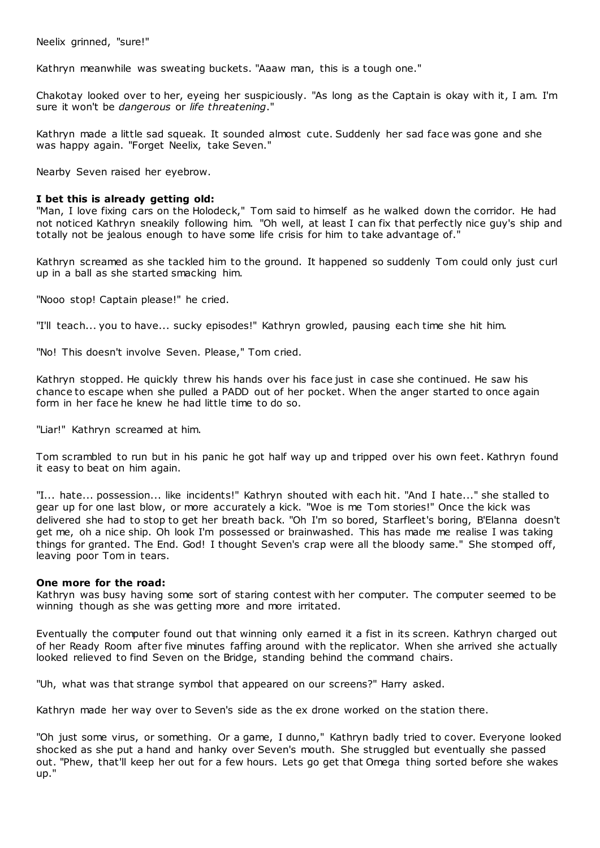Neelix grinned, "sure!"

Kathryn meanwhile was sweating buckets. "Aaaw man, this is a tough one."

Chakotay looked over to her, eyeing her suspiciously. "As long as the Captain is okay with it, I am. I'm sure it won't be *dangerous* or *life threatening*."

Kathryn made a little sad squeak. It sounded almost cute. Suddenly her sad face was gone and she was happy again. "Forget Neelix, take Seven."

Nearby Seven raised her eyebrow.

#### **I bet this is already getting old:**

"Man, I love fixing cars on the Holodeck," Tom said to himself as he walked down the corridor. He had not noticed Kathryn sneakily following him. "Oh well, at least I can fix that perfectly nice guy's ship and totally not be jealous enough to have some life crisis for him to take advantage of."

Kathryn screamed as she tackled him to the ground. It happened so suddenly Tom could only just curl up in a ball as she started smacking him.

"Nooo stop! Captain please!" he cried.

"I'll teach... you to have... sucky episodes!" Kathryn growled, pausing each time she hit him.

"No! This doesn't involve Seven. Please," Tom cried.

Kathryn stopped. He quickly threw his hands over his face just in case she continued. He saw his chance to escape when she pulled a PADD out of her pocket. When the anger started to once again form in her face he knew he had little time to do so.

"Liar!" Kathryn screamed at him.

Tom scrambled to run but in his panic he got half way up and tripped over his own feet. Kathryn found it easy to beat on him again.

"I... hate... possession... like incidents!" Kathryn shouted with each hit. "And I hate..." she stalled to gear up for one last blow, or more accurately a kick. "Woe is me Tom stories!" Once the kick was delivered she had to stop to get her breath back. "Oh I'm so bored, Starfleet's boring, B'Elanna doesn't get me, oh a nice ship. Oh look I'm possessed or brainwashed. This has made me realise I was taking things for granted. The End. God! I thought Seven's crap were all the bloody same." She stomped off, leaving poor Tom in tears.

#### **One more for the road:**

Kathryn was busy having some sort of staring contest with her computer. The computer seemed to be winning though as she was getting more and more irritated.

Eventually the computer found out that winning only earned it a fist in its screen. Kathryn charged out of her Ready Room after five minutes faffing around with the replicator. When she arrived she actually looked relieved to find Seven on the Bridge, standing behind the command chairs.

"Uh, what was that strange symbol that appeared on our screens?" Harry asked.

Kathryn made her way over to Seven's side as the ex drone worked on the station there.

"Oh just some virus, or something. Or a game, I dunno," Kathryn badly tried to cover. Everyone looked shocked as she put a hand and hanky over Seven's mouth. She struggled but eventually she passed out. "Phew, that'll keep her out for a few hours. Lets go get that Omega thing sorted before she wakes up."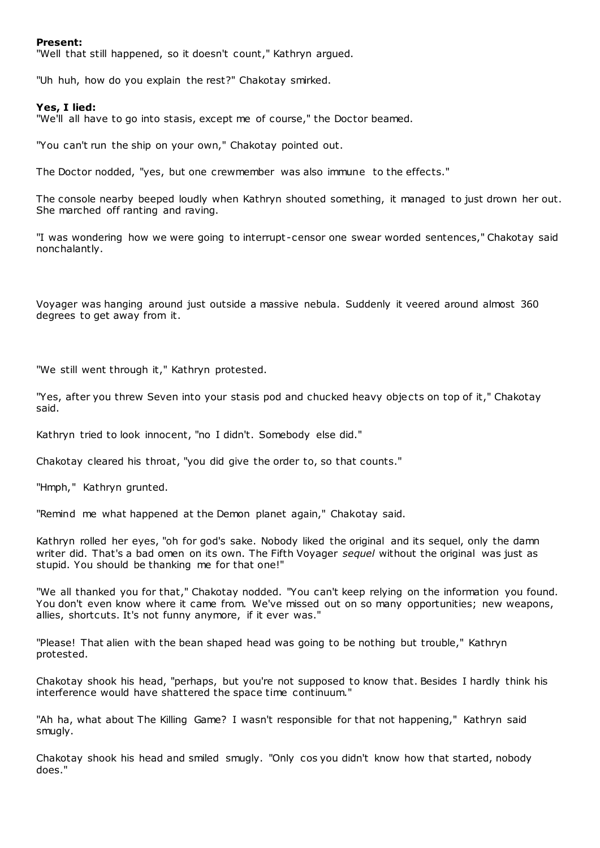#### **Present:**

"Well that still happened, so it doesn't count," Kathryn argued.

"Uh huh, how do you explain the rest?" Chakotay smirked.

#### **Yes, I lied:**

"We'll all have to go into stasis, except me of course," the Doctor beamed.

"You can't run the ship on your own," Chakotay pointed out.

The Doctor nodded, "yes, but one crewmember was also immune to the effects."

The console nearby beeped loudly when Kathryn shouted something, it managed to just drown her out. She marched off ranting and raving.

"I was wondering how we were going to interrupt -censor one swear worded sentences," Chakotay said nonchalantly.

Voyager was hanging around just outside a massive nebula. Suddenly it veered around almost 360 degrees to get away from it.

"We still went through it," Kathryn protested.

"Yes, after you threw Seven into your stasis pod and chucked heavy objects on top of it," Chakotay said.

Kathryn tried to look innocent, "no I didn't. Somebody else did."

Chakotay cleared his throat, "you did give the order to, so that counts."

"Hmph," Kathryn grunted.

"Remind me what happened at the Demon planet again," Chakotay said.

Kathryn rolled her eyes, "oh for god's sake. Nobody liked the original and its sequel, only the damn writer did. That's a bad omen on its own. The Fifth Voyager *sequel* without the original was just as stupid. You should be thanking me for that one!"

"We all thanked you for that," Chakotay nodded. "You can't keep relying on the information you found. You don't even know where it came from. We've missed out on so many opportunities; new weapons, allies, shortcuts. It's not funny anymore, if it ever was."

"Please! That alien with the bean shaped head was going to be nothing but trouble," Kathryn protested.

Chakotay shook his head, "perhaps, but you're not supposed to know that. Besides I hardly think his interference would have shattered the space time continuum."

"Ah ha, what about The Killing Game? I wasn't responsible for that not happening," Kathryn said smugly.

Chakotay shook his head and smiled smugly. "Only cos you didn't know how that started, nobody does."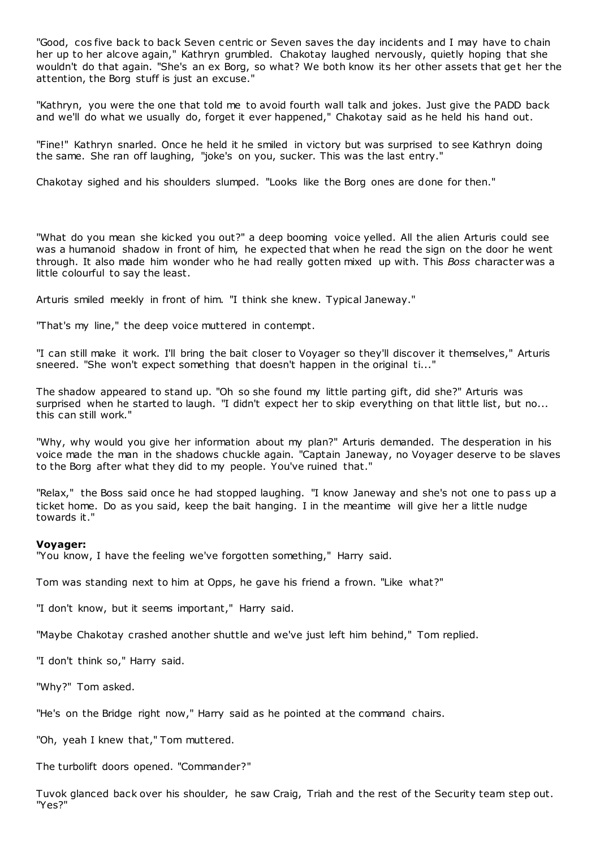"Good, cos five back to back Seven centric or Seven saves the day incidents and I may have to chain her up to her alcove again," Kathryn grumbled. Chakotay laughed nervously, quietly hoping that she wouldn't do that again. "She's an ex Borg, so what? We both know its her other assets that get her the attention, the Borg stuff is just an excuse."

"Kathryn, you were the one that told me to avoid fourth wall talk and jokes. Just give the PADD back and we'll do what we usually do, forget it ever happened," Chakotay said as he held his hand out.

"Fine!" Kathryn snarled. Once he held it he smiled in victory but was surprised to see Kathryn doing the same. She ran off laughing, "joke's on you, sucker. This was the last entry."

Chakotay sighed and his shoulders slumped. "Looks like the Borg ones are done for then."

"What do you mean she kicked you out?" a deep booming voice yelled. All the alien Arturis could see was a humanoid shadow in front of him, he expected that when he read the sign on the door he went through. It also made him wonder who he had really gotten mixed up with. This *Boss* character was a little colourful to say the least.

Arturis smiled meekly in front of him. "I think she knew. Typical Janeway."

"That's my line," the deep voice muttered in contempt.

"I can still make it work. I'll bring the bait closer to Voyager so they'll discover it themselves," Arturis sneered. "She won't expect something that doesn't happen in the original ti..."

The shadow appeared to stand up. "Oh so she found my little parting gift, did she?" Arturis was surprised when he started to laugh. "I didn't expect her to skip everything on that little list, but no... this can still work."

"Why, why would you give her information about my plan?" Arturis demanded. The desperation in his voice made the man in the shadows chuckle again. "Captain Janeway, no Voyager deserve to be slaves to the Borg after what they did to my people. You've ruined that."

"Relax," the Boss said once he had stopped laughing. "I know Janeway and she's not one to pass up a ticket home. Do as you said, keep the bait hanging. I in the meantime will give her a little nudge towards it."

#### **Voyager:**

"You know, I have the feeling we've forgotten something," Harry said.

Tom was standing next to him at Opps, he gave his friend a frown. "Like what?"

"I don't know, but it seems important," Harry said.

"Maybe Chakotay crashed another shuttle and we've just left him behind," Tom replied.

"I don't think so," Harry said.

"Why?" Tom asked.

"He's on the Bridge right now," Harry said as he pointed at the command chairs.

"Oh, yeah I knew that," Tom muttered.

The turbolift doors opened. "Commander?"

Tuvok glanced back over his shoulder, he saw Craig, Triah and the rest of the Security team step out. "Yes?"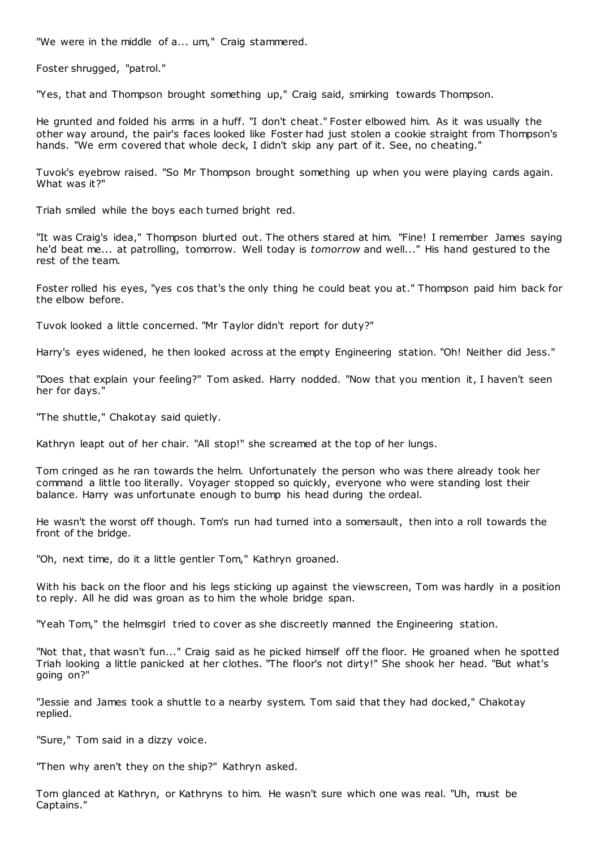"We were in the middle of a... um," Craig stammered.

Foster shrugged, "patrol."

"Yes, that and Thompson brought something up," Craig said, smirking towards Thompson.

He grunted and folded his arms in a huff. "I don't cheat." Foster elbowed him. As it was usually the other way around, the pair's faces looked like Foster had just stolen a cookie straight from Thompson's hands. "We erm covered that whole deck, I didn't skip any part of it. See, no cheating."

Tuvok's eyebrow raised. "So Mr Thompson brought something up when you were playing cards again. What was it?"

Triah smiled while the boys each turned bright red.

"It was Craig's idea," Thompson blurted out. The others stared at him. "Fine! I remember James saying he'd beat me... at patrolling, tomorrow. Well today is *tomorrow* and well..." His hand gestured to the rest of the team.

Foster rolled his eyes, "yes cos that's the only thing he could beat you at." Thompson paid him back for the elbow before.

Tuvok looked a little concerned. "Mr Taylor didn't report for duty?"

Harry's eyes widened, he then looked across at the empty Engineering station. "Oh! Neither did Jess."

"Does that explain your feeling?" Tom asked. Harry nodded. "Now that you mention it, I haven't seen her for days."

"The shuttle," Chakotay said quietly.

Kathryn leapt out of her chair. "All stop!" she screamed at the top of her lungs.

Tom cringed as he ran towards the helm. Unfortunately the person who was there already took her command a little too literally. Voyager stopped so quickly, everyone who were standing lost their balance. Harry was unfortunate enough to bump his head during the ordeal.

He wasn't the worst off though. Tom's run had turned into a somersault, then into a roll towards the front of the bridge.

"Oh, next time, do it a little gentler Tom," Kathryn groaned.

With his back on the floor and his legs sticking up against the viewscreen, Tom was hardly in a position to reply. All he did was groan as to him the whole bridge span.

"Yeah Tom," the helmsgirl tried to cover as she discreetly manned the Engineering station.

"Not that, that wasn't fun..." Craig said as he picked himself off the floor. He groaned when he spotted Triah looking a little panicked at her clothes. "The floor's not dirty!" She shook her head. "But what's going on?"

"Jessie and James took a shuttle to a nearby system. Tom said that they had docked," Chakotay replied.

"Sure," Tom said in a dizzy voice.

"Then why aren't they on the ship?" Kathryn asked.

Tom glanced at Kathryn, or Kathryns to him. He wasn't sure which one was real. "Uh, must be Captains."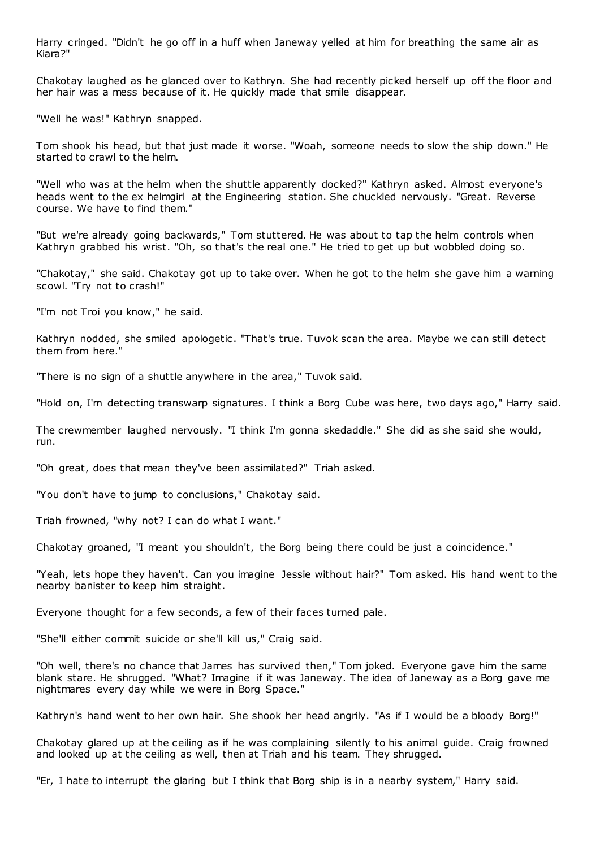Harry cringed. "Didn't he go off in a huff when Janeway yelled at him for breathing the same air as Kiara?"

Chakotay laughed as he glanced over to Kathryn. She had recently picked herself up off the floor and her hair was a mess because of it. He quickly made that smile disappear.

"Well he was!" Kathryn snapped.

Tom shook his head, but that just made it worse. "Woah, someone needs to slow the ship down." He started to crawl to the helm.

"Well who was at the helm when the shuttle apparently docked?" Kathryn asked. Almost everyone's heads went to the ex helmgirl at the Engineering station. She chuckled nervously. "Great. Reverse course. We have to find them."

"But we're already going backwards," Tom stuttered. He was about to tap the helm controls when Kathryn grabbed his wrist. "Oh, so that's the real one." He tried to get up but wobbled doing so.

"Chakotay," she said. Chakotay got up to take over. When he got to the helm she gave him a warning scowl. "Try not to crash!"

"I'm not Troi you know," he said.

Kathryn nodded, she smiled apologetic. "That's true. Tuvok scan the area. Maybe we can still detect them from here."

"There is no sign of a shuttle anywhere in the area," Tuvok said.

"Hold on, I'm detecting transwarp signatures. I think a Borg Cube was here, two days ago," Harry said.

The crewmember laughed nervously. "I think I'm gonna skedaddle." She did as she said she would, run.

"Oh great, does that mean they've been assimilated?" Triah asked.

"You don't have to jump to conclusions," Chakotay said.

Triah frowned, "why not? I can do what I want."

Chakotay groaned, "I meant you shouldn't, the Borg being there could be just a coincidence."

"Yeah, lets hope they haven't. Can you imagine Jessie without hair?" Tom asked. His hand went to the nearby banister to keep him straight.

Everyone thought for a few seconds, a few of their faces turned pale.

"She'll either commit suicide or she'll kill us," Craig said.

"Oh well, there's no chance that James has survived then," Tom joked. Everyone gave him the same blank stare. He shrugged. "What? Imagine if it was Janeway. The idea of Janeway as a Borg gave me nightmares every day while we were in Borg Space."

Kathryn's hand went to her own hair. She shook her head angrily. "As if I would be a bloody Borg!"

Chakotay glared up at the ceiling as if he was complaining silently to his animal guide. Craig frowned and looked up at the ceiling as well, then at Triah and his team. They shrugged.

"Er, I hate to interrupt the glaring but I think that Borg ship is in a nearby system," Harry said.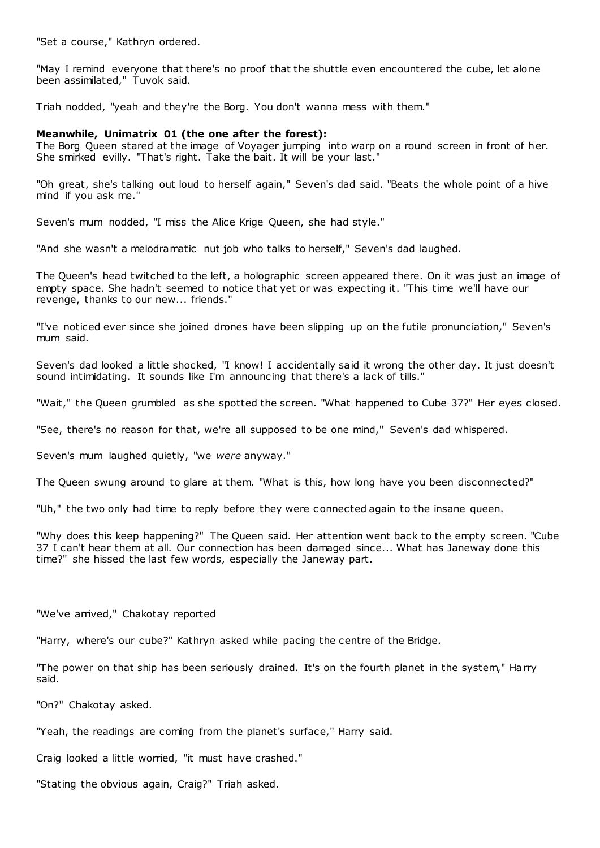"Set a course," Kathryn ordered.

"May I remind everyone that there's no proof that the shuttle even encountered the cube, let alone been assimilated," Tuvok said.

Triah nodded, "yeah and they're the Borg. You don't wanna mess with them."

#### **Meanwhile, Unimatrix 01 (the one after the forest):**

The Borg Queen stared at the image of Voyager jumping into warp on a round screen in front of her. She smirked evilly. "That's right. Take the bait. It will be your last."

"Oh great, she's talking out loud to herself again," Seven's dad said. "Beats the whole point of a hive mind if you ask me."

Seven's mum nodded, "I miss the Alice Krige Queen, she had style."

"And she wasn't a melodramatic nut job who talks to herself," Seven's dad laughed.

The Queen's head twitched to the left, a holographic screen appeared there. On it was just an image of empty space. She hadn't seemed to notice that yet or was expecting it. "This time we'll have our revenge, thanks to our new... friends."

"I've noticed ever since she joined drones have been slipping up on the futile pronunciation," Seven's mum said.

Seven's dad looked a little shocked, "I know! I accidentally said it wrong the other day. It just doesn't sound intimidating. It sounds like I'm announcing that there's a lack of tills."

"Wait," the Queen grumbled as she spotted the screen. "What happened to Cube 37?" Her eyes closed.

"See, there's no reason for that, we're all supposed to be one mind," Seven's dad whispered.

Seven's mum laughed quietly, "we *were* anyway."

The Queen swung around to glare at them. "What is this, how long have you been disconnected?"

"Uh," the two only had time to reply before they were c onnected again to the insane queen.

"Why does this keep happening?" The Queen said. Her attention went back to the empty screen. "Cube 37 I can't hear them at all. Our connection has been damaged since... What has Janeway done this time?" she hissed the last few words, especially the Janeway part.

"We've arrived," Chakotay reported

"Harry, where's our cube?" Kathryn asked while pacing the centre of the Bridge.

"The power on that ship has been seriously drained. It's on the fourth planet in the system," Harry said.

"On?" Chakotay asked.

"Yeah, the readings are coming from the planet's surface," Harry said.

Craig looked a little worried, "it must have crashed."

"Stating the obvious again, Craig?" Triah asked.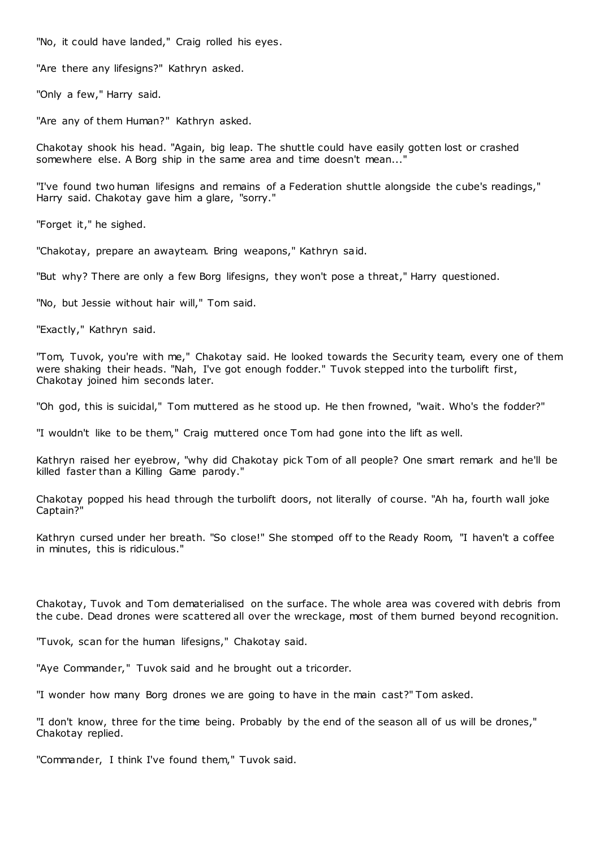"No, it could have landed," Craig rolled his eyes.

"Are there any lifesigns?" Kathryn asked.

"Only a few," Harry said.

"Are any of them Human?" Kathryn asked.

Chakotay shook his head. "Again, big leap. The shuttle could have easily gotten lost or crashed somewhere else. A Borg ship in the same area and time doesn't mean..."

"I've found two human lifesigns and remains of a Federation shuttle alongside the cube's readings," Harry said. Chakotay gave him a glare, "sorry."

"Forget it," he sighed.

"Chakotay, prepare an awayteam. Bring weapons," Kathryn said.

"But why? There are only a few Borg lifesigns, they won't pose a threat," Harry questioned.

"No, but Jessie without hair will," Tom said.

"Exactly," Kathryn said.

"Tom, Tuvok, you're with me," Chakotay said. He looked towards the Security team, every one of them were shaking their heads. "Nah, I've got enough fodder." Tuvok stepped into the turbolift first, Chakotay joined him seconds later.

"Oh god, this is suicidal," Tom muttered as he stood up. He then frowned, "wait. Who's the fodder?"

"I wouldn't like to be them," Craig muttered once Tom had gone into the lift as well.

Kathryn raised her eyebrow, "why did Chakotay pick Tom of all people? One smart remark and he'll be killed faster than a Killing Game parody."

Chakotay popped his head through the turbolift doors, not literally of course. "Ah ha, fourth wall joke Captain?"

Kathryn cursed under her breath. "So close!" She stomped off to the Ready Room, "I haven't a coffee in minutes, this is ridiculous."

Chakotay, Tuvok and Tom dematerialised on the surface. The whole area was covered with debris from the cube. Dead drones were scattered all over the wreckage, most of them burned beyond recognition.

"Tuvok, scan for the human lifesigns," Chakotay said.

"Aye Commander," Tuvok said and he brought out a tricorder.

"I wonder how many Borg drones we are going to have in the main cast?" Tom asked.

"I don't know, three for the time being. Probably by the end of the season all of us will be drones," Chakotay replied.

"Commander, I think I've found them," Tuvok said.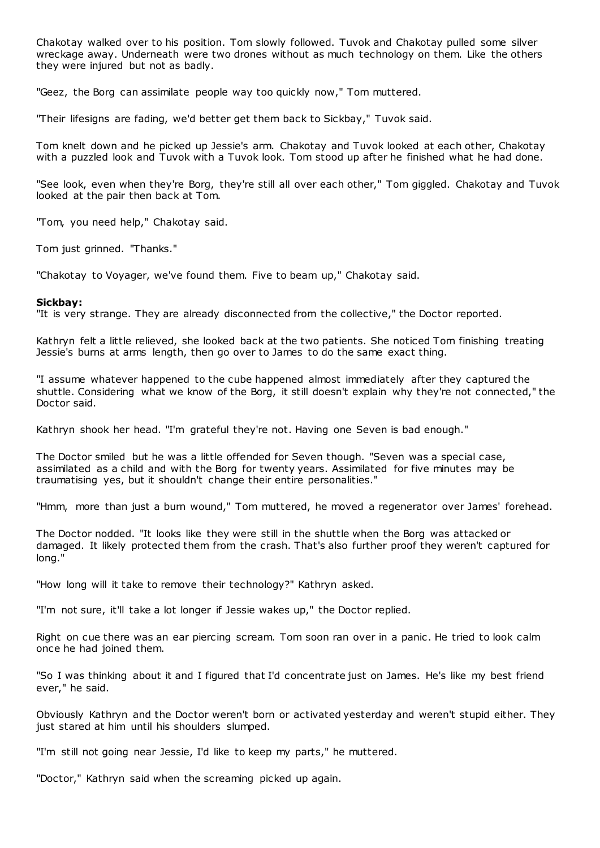Chakotay walked over to his position. Tom slowly followed. Tuvok and Chakotay pulled some silver wreckage away. Underneath were two drones without as much technology on them. Like the others they were injured but not as badly.

"Geez, the Borg can assimilate people way too quickly now," Tom muttered.

"Their lifesigns are fading, we'd better get them back to Sickbay," Tuvok said.

Tom knelt down and he picked up Jessie's arm. Chakotay and Tuvok looked at each other, Chakotay with a puzzled look and Tuvok with a Tuvok look. Tom stood up after he finished what he had done.

"See look, even when they're Borg, they're still all over each other," Tom giggled. Chakotay and Tuvok looked at the pair then back at Tom.

"Tom, you need help," Chakotay said.

Tom just grinned. "Thanks."

"Chakotay to Voyager, we've found them. Five to beam up," Chakotay said.

# **Sickbay:**

"It is very strange. They are already disconnected from the collective," the Doctor reported.

Kathryn felt a little relieved, she looked back at the two patients. She noticed Tom finishing treating Jessie's burns at arms length, then go over to James to do the same exact thing.

"I assume whatever happened to the cube happened almost immediately after they captured the shuttle. Considering what we know of the Borg, it still doesn't explain why they're not connected," the Doctor said.

Kathryn shook her head. "I'm grateful they're not. Having one Seven is bad enough."

The Doctor smiled but he was a little offended for Seven though. "Seven was a special case, assimilated as a child and with the Borg for twenty years. Assimilated for five minutes may be traumatising yes, but it shouldn't change their entire personalities."

"Hmm, more than just a burn wound," Tom muttered, he moved a regenerator over James' forehead.

The Doctor nodded. "It looks like they were still in the shuttle when the Borg was attacked or damaged. It likely protected them from the crash. That's also further proof they weren't captured for long."

"How long will it take to remove their technology?" Kathryn asked.

"I'm not sure, it'll take a lot longer if Jessie wakes up," the Doctor replied.

Right on cue there was an ear piercing scream. Tom soon ran over in a panic . He tried to look calm once he had joined them.

"So I was thinking about it and I figured that I'd concentrate just on James. He's like my best friend ever," he said.

Obviously Kathryn and the Doctor weren't born or activated yesterday and weren't stupid either. They just stared at him until his shoulders slumped.

"I'm still not going near Jessie, I'd like to keep my parts," he muttered.

"Doctor," Kathryn said when the screaming picked up again.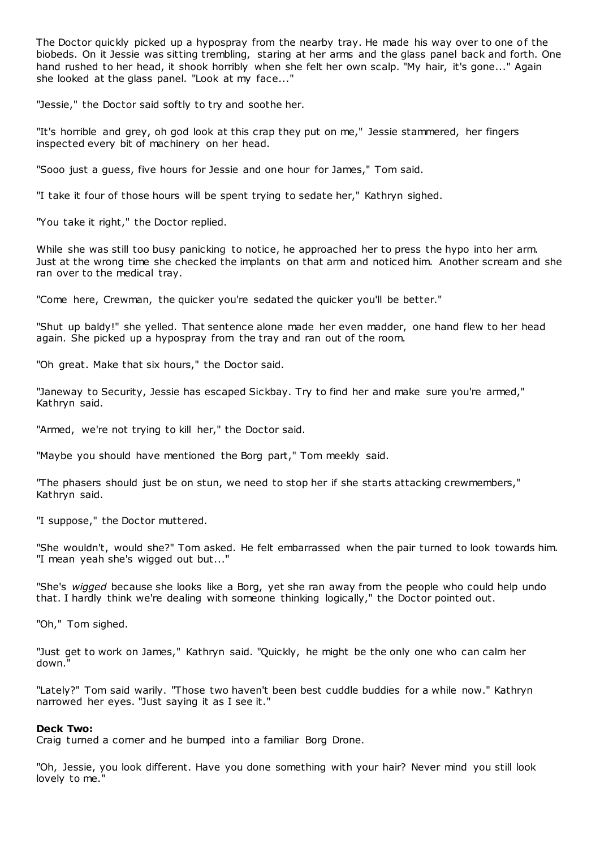The Doctor quickly picked up a hypospray from the nearby tray. He made his way over to one of the biobeds. On it Jessie was sitting trembling, staring at her arms and the glass panel back and forth. One hand rushed to her head, it shook horribly when she felt her own scalp. "My hair, it's gone..." Again she looked at the glass panel. "Look at my face..."

"Jessie," the Doctor said softly to try and soothe her.

"It's horrible and grey, oh god look at this crap they put on me," Jessie stammered, her fingers inspected every bit of machinery on her head.

"Sooo just a guess, five hours for Jessie and one hour for James," Tom said.

"I take it four of those hours will be spent trying to sedate her," Kathryn sighed.

"You take it right," the Doctor replied.

While she was still too busy panicking to notice, he approached her to press the hypo into her arm. Just at the wrong time she checked the implants on that arm and noticed him. Another scream and she ran over to the medical tray.

"Come here, Crewman, the quicker you're sedated the quicker you'll be better."

"Shut up baldy!" she yelled. That sentence alone made her even madder, one hand flew to her head again. She picked up a hypospray from the tray and ran out of the room.

"Oh great. Make that six hours," the Doctor said.

"Janeway to Security, Jessie has escaped Sickbay. Try to find her and make sure you're armed," Kathryn said.

"Armed, we're not trying to kill her," the Doctor said.

"Maybe you should have mentioned the Borg part," Tom meekly said.

"The phasers should just be on stun, we need to stop her if she starts attacking crewmembers," Kathryn said.

"I suppose," the Doctor muttered.

"She wouldn't, would she?" Tom asked. He felt embarrassed when the pair turned to look towards him. "I mean yeah she's wigged out but..."

"She's *wigged* because she looks like a Borg, yet she ran away from the people who could help undo that. I hardly think we're dealing with someone thinking logically," the Doctor pointed out.

"Oh," Tom sighed.

"Just get to work on James," Kathryn said. "Quickly, he might be the only one who can calm her down."

"Lately?" Tom said warily. "Those two haven't been best cuddle buddies for a while now." Kathryn narrowed her eyes. "Just saying it as I see it."

#### **Deck Two:**

Craig turned a corner and he bumped into a familiar Borg Drone.

"Oh, Jessie, you look different. Have you done something with your hair? Never mind you still look lovely to me."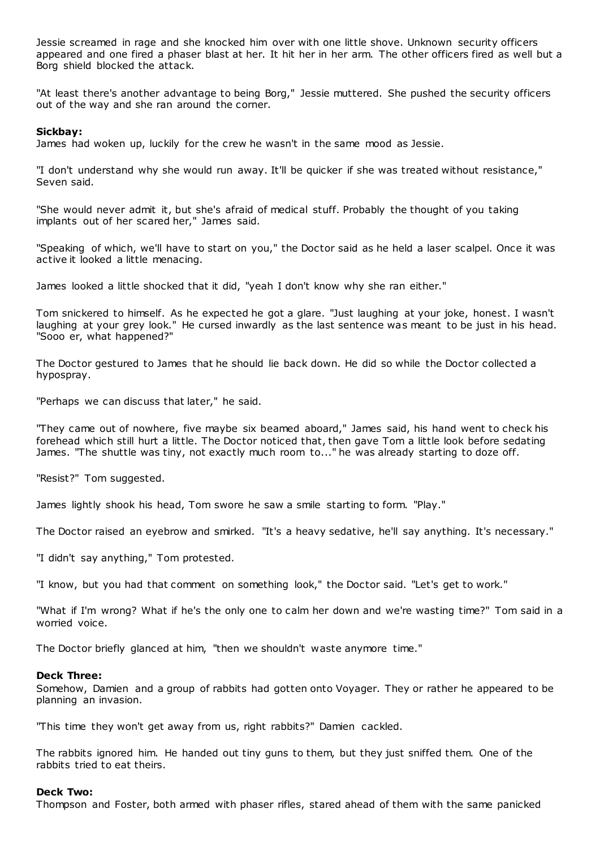Jessie screamed in rage and she knocked him over with one little shove. Unknown security officers appeared and one fired a phaser blast at her. It hit her in her arm. The other officers fired as well but a Borg shield blocked the attack.

"At least there's another advantage to being Borg," Jessie muttered. She pushed the security officers out of the way and she ran around the corner.

# **Sickbay:**

James had woken up, luckily for the crew he wasn't in the same mood as Jessie.

"I don't understand why she would run away. It'll be quicker if she was treated without resistance," Seven said.

"She would never admit it, but she's afraid of medical stuff. Probably the thought of you taking implants out of her scared her," James said.

"Speaking of which, we'll have to start on you," the Doctor said as he held a laser scalpel. Once it was active it looked a little menacing.

James looked a little shocked that it did, "yeah I don't know why she ran either."

Tom snickered to himself. As he expected he got a glare. "Just laughing at your joke, honest. I wasn't laughing at your grey look." He cursed inwardly as the last sentence was meant to be just in his head. "Sooo er, what happened?"

The Doctor gestured to James that he should lie back down. He did so while the Doctor collected a hypospray.

"Perhaps we can discuss that later," he said.

"They came out of nowhere, five maybe six beamed aboard," James said, his hand went to check his forehead which still hurt a little. The Doctor noticed that, then gave Tom a little look before sedating James. "The shuttle was tiny, not exactly much room to..." he was already starting to doze off.

"Resist?" Tom suggested.

James lightly shook his head, Tom swore he saw a smile starting to form. "Play."

The Doctor raised an eyebrow and smirked. "It's a heavy sedative, he'll say anything. It's necessary."

"I didn't say anything," Tom protested.

"I know, but you had that comment on something look," the Doctor said. "Let's get to work."

"What if I'm wrong? What if he's the only one to calm her down and we're wasting time?" Tom said in a worried voice.

The Doctor briefly glanced at him, "then we shouldn't waste anymore time."

# **Deck Three:**

Somehow, Damien and a group of rabbits had gotten onto Voyager. They or rather he appeared to be planning an invasion.

"This time they won't get away from us, right rabbits?" Damien cackled.

The rabbits ignored him. He handed out tiny guns to them, but they just sniffed them. One of the rabbits tried to eat theirs.

# **Deck Two:**

Thompson and Foster, both armed with phaser rifles, stared ahead of them with the same panicked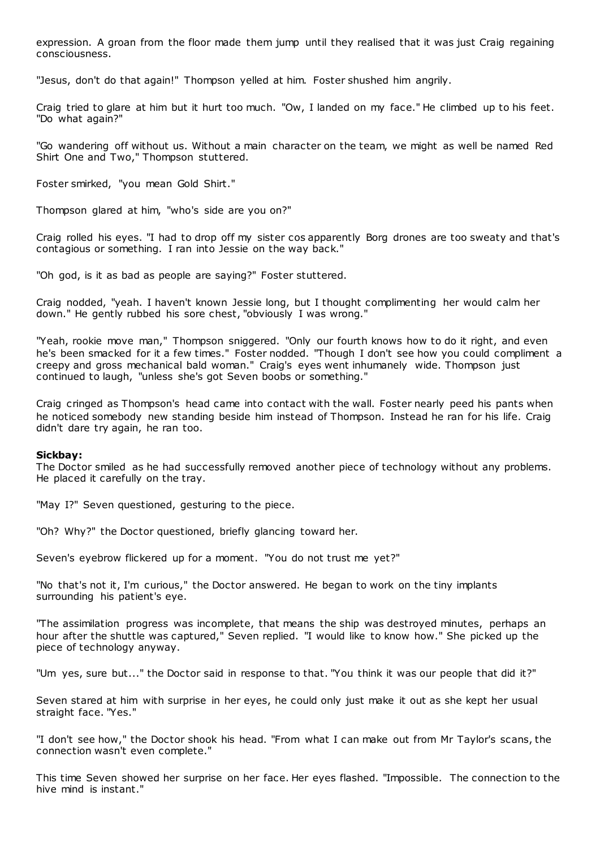expression. A groan from the floor made them jump until they realised that it was just Craig regaining consciousness.

"Jesus, don't do that again!" Thompson yelled at him. Foster shushed him angrily.

Craig tried to glare at him but it hurt too much. "Ow, I landed on my face." He climbed up to his feet. "Do what again?"

"Go wandering off without us. Without a main character on the team, we might as well be named Red Shirt One and Two," Thompson stuttered.

Foster smirked, "you mean Gold Shirt."

Thompson glared at him, "who's side are you on?"

Craig rolled his eyes. "I had to drop off my sister cos apparently Borg drones are too sweaty and that's contagious or something. I ran into Jessie on the way back."

"Oh god, is it as bad as people are saying?" Foster stuttered.

Craig nodded, "yeah. I haven't known Jessie long, but I thought complimenting her would calm her down." He gently rubbed his sore chest, "obviously I was wrong."

"Yeah, rookie move man," Thompson sniggered. "Only our fourth knows how to do it right, and even he's been smacked for it a few times." Foster nodded. "Though I don't see how you could compliment a creepy and gross mechanical bald woman." Craig's eyes went inhumanely wide. Thompson just continued to laugh, "unless she's got Seven boobs or something."

Craig cringed as Thompson's head came into contact with the wall. Foster nearly peed his pants when he noticed somebody new standing beside him instead of Thompson. Instead he ran for his life. Craig didn't dare try again, he ran too.

# **Sickbay:**

The Doctor smiled as he had successfully removed another piece of technology without any problems. He placed it carefully on the tray.

"May I?" Seven questioned, gesturing to the piece.

"Oh? Why?" the Doctor questioned, briefly glancing toward her.

Seven's eyebrow flickered up for a moment. "You do not trust me yet?"

"No that's not it, I'm curious," the Doctor answered. He began to work on the tiny implants surrounding his patient's eye.

"The assimilation progress was incomplete, that means the ship was destroyed minutes, perhaps an hour after the shuttle was captured," Seven replied. "I would like to know how." She picked up the piece of technology anyway.

"Um yes, sure but..." the Doctor said in response to that. "You think it was our people that did it?"

Seven stared at him with surprise in her eyes, he could only just make it out as she kept her usual straight face. "Yes."

"I don't see how," the Doctor shook his head. "From what I can make out from Mr Taylor's scans, the connection wasn't even complete."

This time Seven showed her surprise on her face. Her eyes flashed. "Impossible. The connection to the hive mind is instant."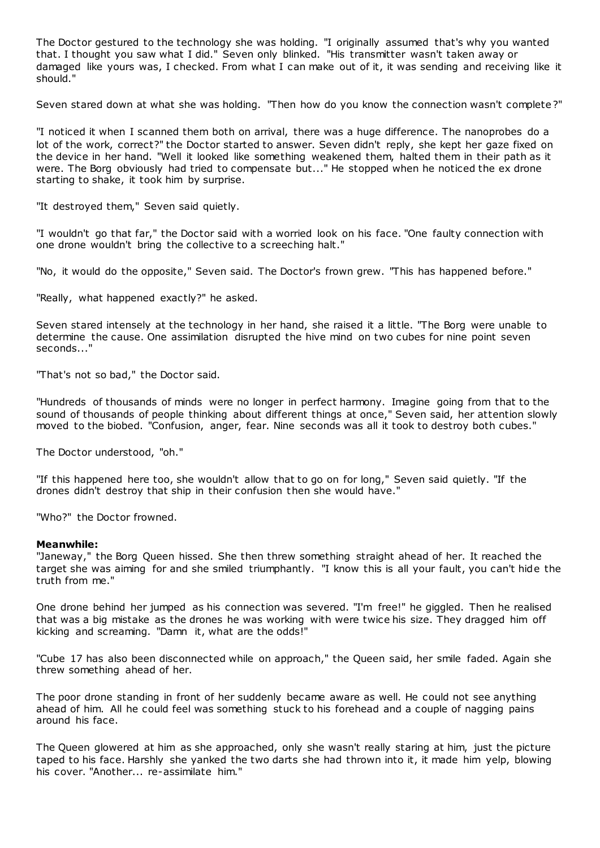The Doctor gestured to the technology she was holding. "I originally assumed that's why you wanted that. I thought you saw what I did." Seven only blinked. "His transmitter wasn't taken away or damaged like yours was, I checked. From what I can make out of it, it was sending and receiving like it should."

Seven stared down at what she was holding. "Then how do you know the connection wasn't complete ?"

"I noticed it when I scanned them both on arrival, there was a huge difference. The nanoprobes do a lot of the work, correct?" the Doctor started to answer. Seven didn't reply, she kept her gaze fixed on the device in her hand. "Well it looked like something weakened them, halted them in their path as it were. The Borg obviously had tried to compensate but..." He stopped when he noticed the ex drone starting to shake, it took him by surprise.

"It destroyed them," Seven said quietly.

"I wouldn't go that far," the Doctor said with a worried look on his face. "One faulty connection with one drone wouldn't bring the collective to a screeching halt."

"No, it would do the opposite," Seven said. The Doctor's frown grew. "This has happened before."

"Really, what happened exactly?" he asked.

Seven stared intensely at the technology in her hand, she raised it a little. "The Borg were unable to determine the cause. One assimilation disrupted the hive mind on two cubes for nine point seven seconds..."

"That's not so bad," the Doctor said.

"Hundreds of thousands of minds were no longer in perfect harmony. Imagine going from that to the sound of thousands of people thinking about different things at once," Seven said, her attention slowly moved to the biobed. "Confusion, anger, fear. Nine seconds was all it took to destroy both cubes."

The Doctor understood, "oh."

"If this happened here too, she wouldn't allow that to go on for long," Seven said quietly. "If the drones didn't destroy that ship in their confusion then she would have."

"Who?" the Doctor frowned.

#### **Meanwhile:**

"Janeway," the Borg Queen hissed. She then threw something straight ahead of her. It reached the target she was aiming for and she smiled triumphantly. "I know this is all your fault, you can't hide the truth from me."

One drone behind her jumped as his connection was severed. "I'm free!" he giggled. Then he realised that was a big mistake as the drones he was working with were twice his size. They dragged him off kicking and screaming. "Damn it, what are the odds!"

"Cube 17 has also been disconnected while on approach," the Queen said, her smile faded. Again she threw something ahead of her.

The poor drone standing in front of her suddenly became aware as well. He could not see anything ahead of him. All he could feel was something stuck to his forehead and a couple of nagging pains around his face.

The Queen glowered at him as she approached, only she wasn't really staring at him, just the picture taped to his face. Harshly she yanked the two darts she had thrown into it, it made him yelp, blowing his cover. "Another... re-assimilate him."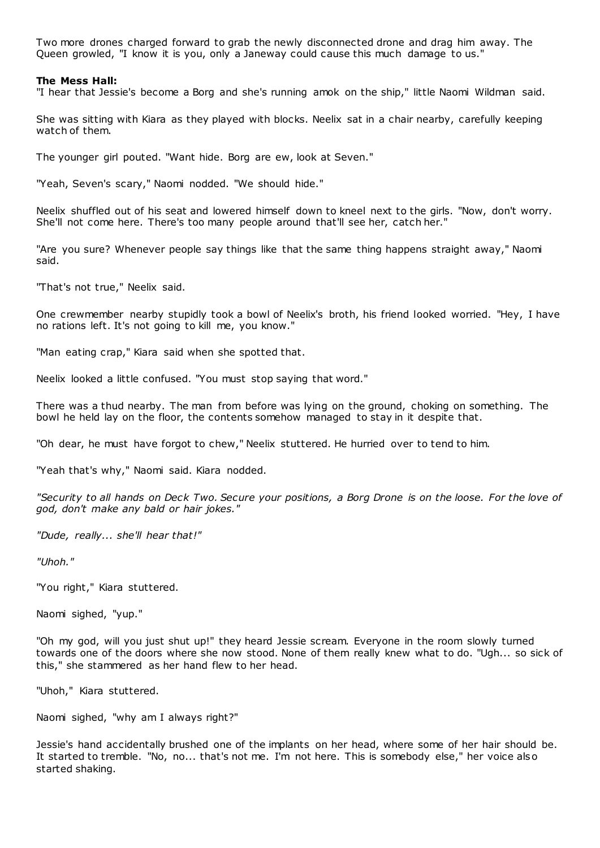Two more drones charged forward to grab the newly disconnected drone and drag him away. The Queen growled, "I know it is you, only a Janeway could cause this much damage to us."

#### **The Mess Hall:**

"I hear that Jessie's become a Borg and she's running amok on the ship," little Naomi Wildman said.

She was sitting with Kiara as they played with blocks. Neelix sat in a chair nearby, carefully keeping watch of them.

The younger girl pouted. "Want hide. Borg are ew, look at Seven."

"Yeah, Seven's scary," Naomi nodded. "We should hide."

Neelix shuffled out of his seat and lowered himself down to kneel next to the girls. "Now, don't worry. She'll not come here. There's too many people around that'll see her, catch her."

"Are you sure? Whenever people say things like that the same thing happens straight away," Naomi said.

"That's not true," Neelix said.

One crewmember nearby stupidly took a bowl of Neelix's broth, his friend looked worried. "Hey, I have no rations left. It's not going to kill me, you know."

"Man eating crap," Kiara said when she spotted that.

Neelix looked a little confused. "You must stop saying that word."

There was a thud nearby. The man from before was lying on the ground, choking on something. The bowl he held lay on the floor, the contents somehow managed to stay in it despite that.

"Oh dear, he must have forgot to chew," Neelix stuttered. He hurried over to tend to him.

"Yeah that's why," Naomi said. Kiara nodded.

*"Security to all hands on Deck Two. Secure your positions, a Borg Drone is on the loose. For the love of god, don't make any bald or hair jokes."*

*"Dude, really... she'll hear that!"*

*"Uhoh."*

"You right," Kiara stuttered.

Naomi sighed, "yup."

"Oh my god, will you just shut up!" they heard Jessie scream. Everyone in the room slowly turned towards one of the doors where she now stood. None of them really knew what to do. "Ugh... so sick of this," she stammered as her hand flew to her head.

"Uhoh," Kiara stuttered.

Naomi sighed, "why am I always right?"

Jessie's hand accidentally brushed one of the implants on her head, where some of her hair should be. It started to tremble. "No, no... that's not me. I'm not here. This is somebody else," her voice also started shaking.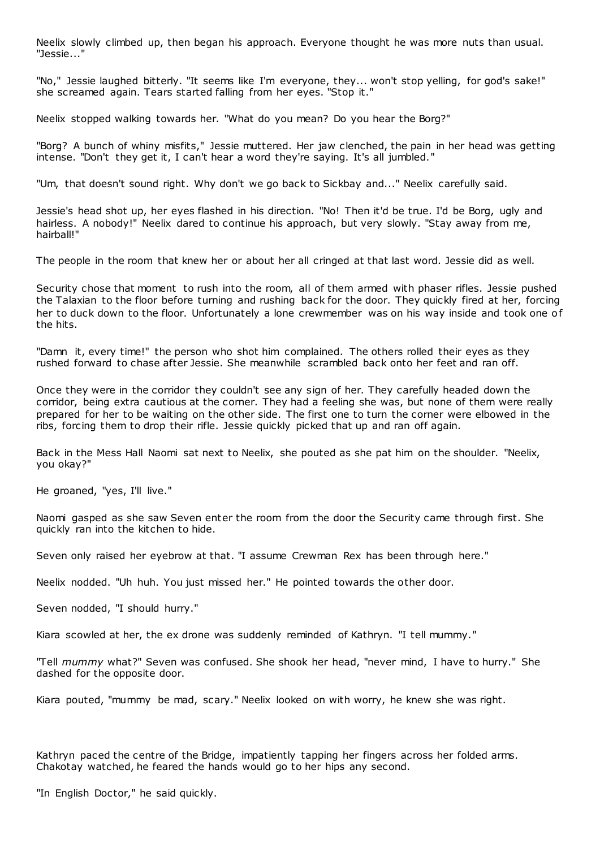Neelix slowly climbed up, then began his approach. Everyone thought he was more nuts than usual. "Jessie..."

"No," Jessie laughed bitterly. "It seems like I'm everyone, they... won't stop yelling, for god's sake!" she screamed again. Tears started falling from her eyes. "Stop it."

Neelix stopped walking towards her. "What do you mean? Do you hear the Borg?"

"Borg? A bunch of whiny misfits," Jessie muttered. Her jaw clenched, the pain in her head was getting intense. "Don't they get it, I can't hear a word they're saying. It's all jumbled."

"Um, that doesn't sound right. Why don't we go back to Sickbay and..." Neelix carefully said.

Jessie's head shot up, her eyes flashed in his direction. "No! Then it'd be true. I'd be Borg, ugly and hairless. A nobody!" Neelix dared to continue his approach, but very slowly. "Stay away from me, hairball!"

The people in the room that knew her or about her all cringed at that last word. Jessie did as well.

Security chose that moment to rush into the room, all of them armed with phaser rifles. Jessie pushed the Talaxian to the floor before turning and rushing back for the door. They quickly fired at her, forcing her to duck down to the floor. Unfortunately a lone crewmember was on his way inside and took one of the hits.

"Damn it, every time!" the person who shot him complained. The others rolled their eyes as they rushed forward to chase after Jessie. She meanwhile scrambled back onto her feet and ran off.

Once they were in the corridor they couldn't see any sign of her. They carefully headed down the corridor, being extra cautious at the corner. They had a feeling she was, but none of them were really prepared for her to be waiting on the other side. The first one to turn the corner were elbowed in the ribs, forcing them to drop their rifle. Jessie quickly picked that up and ran off again.

Back in the Mess Hall Naomi sat next to Neelix, she pouted as she pat him on the shoulder. "Neelix, you okay?"

He groaned, "yes, I'll live."

Naomi gasped as she saw Seven enter the room from the door the Security came through first. She quickly ran into the kitchen to hide.

Seven only raised her eyebrow at that. "I assume Crewman Rex has been through here."

Neelix nodded. "Uh huh. You just missed her." He pointed towards the other door.

Seven nodded, "I should hurry."

Kiara scowled at her, the ex drone was suddenly reminded of Kathryn. "I tell mummy."

"Tell *mummy* what?" Seven was confused. She shook her head, "never mind, I have to hurry." She dashed for the opposite door.

Kiara pouted, "mummy be mad, scary." Neelix looked on with worry, he knew she was right.

Kathryn paced the centre of the Bridge, impatiently tapping her fingers across her folded arms. Chakotay watched, he feared the hands would go to her hips any second.

"In English Doctor," he said quickly.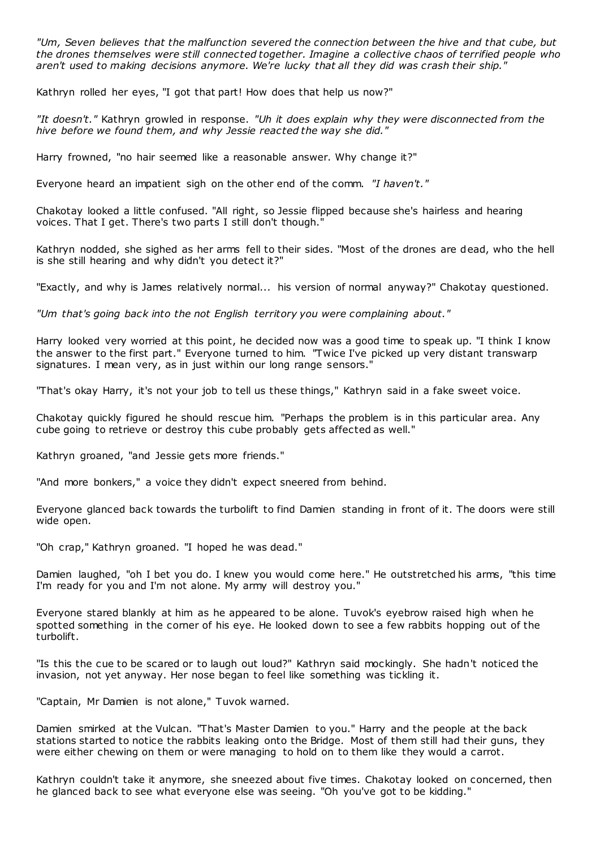*"Um, Seven believes that the malfunction severed the connection between the hive and that cube, but the drones themselves were still connected together. Imagine a collective chaos of terrified people who aren't used to making decisions anymore. We're lucky that all they did was crash their ship."*

Kathryn rolled her eyes, "I got that part! How does that help us now?"

*"It doesn't."* Kathryn growled in response. *"Uh it does explain why they were disconnected from the hive before we found them, and why Jessie reacted the way she did."*

Harry frowned, "no hair seemed like a reasonable answer. Why change it?"

Everyone heard an impatient sigh on the other end of the comm. *"I haven't."*

Chakotay looked a little confused. "All right, so Jessie flipped because she's hairless and hearing voices. That I get. There's two parts I still don't though."

Kathryn nodded, she sighed as her arms fell to their sides. "Most of the drones are dead, who the hell is she still hearing and why didn't you detect it?"

"Exactly, and why is James relatively normal... his version of normal anyway?" Chakotay questioned.

*"Um that's going back into the not English territory you were complaining about."*

Harry looked very worried at this point, he decided now was a good time to speak up. "I think I know the answer to the first part." Everyone turned to him. "Twice I've picked up very distant transwarp signatures. I mean very, as in just within our long range sensors."

"That's okay Harry, it's not your job to tell us these things," Kathryn said in a fake sweet voice.

Chakotay quickly figured he should rescue him. "Perhaps the problem is in this particular area. Any cube going to retrieve or destroy this cube probably gets affected as well."

Kathryn groaned, "and Jessie gets more friends."

"And more bonkers," a voice they didn't expect sneered from behind.

Everyone glanced back towards the turbolift to find Damien standing in front of it. The doors were still wide open.

"Oh crap," Kathryn groaned. "I hoped he was dead."

Damien laughed, "oh I bet you do. I knew you would come here." He outstretched his arms, "this time I'm ready for you and I'm not alone. My army will destroy you."

Everyone stared blankly at him as he appeared to be alone. Tuvok's eyebrow raised high when he spotted something in the corner of his eye. He looked down to see a few rabbits hopping out of the turbolift.

"Is this the cue to be scared or to laugh out loud?" Kathryn said mockingly. She hadn't noticed the invasion, not yet anyway. Her nose began to feel like something was tickling it.

"Captain, Mr Damien is not alone," Tuvok warned.

Damien smirked at the Vulcan. "That's Master Damien to you." Harry and the people at the back stations started to notice the rabbits leaking onto the Bridge. Most of them still had their guns, they were either chewing on them or were managing to hold on to them like they would a carrot.

Kathryn couldn't take it anymore, she sneezed about five times. Chakotay looked on concerned, then he glanced back to see what everyone else was seeing. "Oh you've got to be kidding."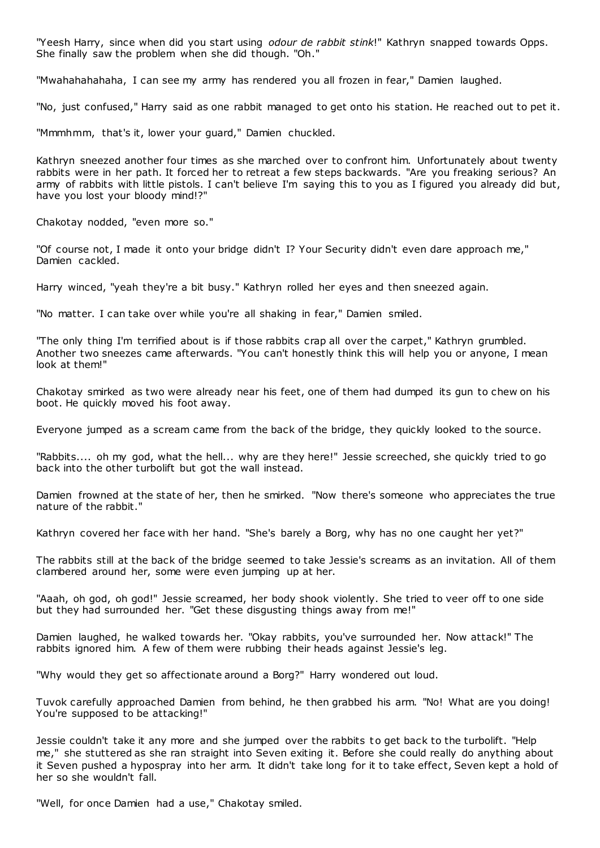"Yeesh Harry, since when did you start using *odour de rabbit stink*!" Kathryn snapped towards Opps. She finally saw the problem when she did though. "Oh."

"Mwahahahahaha, I can see my army has rendered you all frozen in fear," Damien laughed.

"No, just confused," Harry said as one rabbit managed to get onto his station. He reached out to pet it.

"Mmmhmm, that's it, lower your guard," Damien chuckled.

Kathryn sneezed another four times as she marched over to confront him. Unfortunately about twenty rabbits were in her path. It forced her to retreat a few steps backwards. "Are you freaking serious? An army of rabbits with little pistols. I can't believe I'm saying this to you as I figured you already did but, have you lost your bloody mind!?"

Chakotay nodded, "even more so."

"Of course not, I made it onto your bridge didn't I? Your Security didn't even dare approach me," Damien cackled.

Harry winced, "yeah they're a bit busy." Kathryn rolled her eyes and then sneezed again.

"No matter. I can take over while you're all shaking in fear," Damien smiled.

"The only thing I'm terrified about is if those rabbits crap all over the carpet," Kathryn grumbled. Another two sneezes came afterwards. "You can't honestly think this will help you or anyone, I mean look at them!"

Chakotay smirked as two were already near his feet, one of them had dumped its gun to chew on his boot. He quickly moved his foot away.

Everyone jumped as a scream came from the back of the bridge, they quickly looked to the source.

"Rabbits.... oh my god, what the hell... why are they here!" Jessie screeched, she quickly tried to go back into the other turbolift but got the wall instead.

Damien frowned at the state of her, then he smirked. "Now there's someone who appreciates the true nature of the rabbit."

Kathryn covered her face with her hand. "She's barely a Borg, why has no one caught her yet?"

The rabbits still at the back of the bridge seemed to take Jessie's screams as an invitation. All of them clambered around her, some were even jumping up at her.

"Aaah, oh god, oh god!" Jessie screamed, her body shook violently. She tried to veer off to one side but they had surrounded her. "Get these disgusting things away from me!"

Damien laughed, he walked towards her. "Okay rabbits, you've surrounded her. Now attack!" The rabbits ignored him. A few of them were rubbing their heads against Jessie's leg.

"Why would they get so affectionate around a Borg?" Harry wondered out loud.

Tuvok carefully approached Damien from behind, he then grabbed his arm. "No! What are you doing! You're supposed to be attacking!"

Jessie couldn't take it any more and she jumped over the rabbits to get back to the turbolift. "Help me," she stuttered as she ran straight into Seven exiting it. Before she could really do anything about it Seven pushed a hypospray into her arm. It didn't take long for it to take effect, Seven kept a hold of her so she wouldn't fall.

"Well, for once Damien had a use," Chakotay smiled.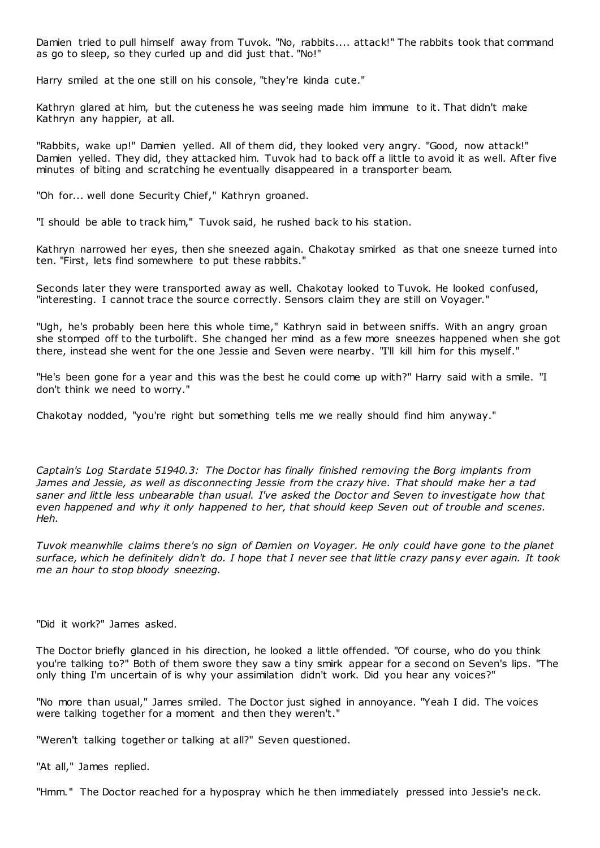Damien tried to pull himself away from Tuvok. "No, rabbits.... attack!" The rabbits took that command as go to sleep, so they curled up and did just that. "No!"

Harry smiled at the one still on his console, "they're kinda cute."

Kathryn glared at him, but the cuteness he was seeing made him immune to it. That didn't make Kathryn any happier, at all.

"Rabbits, wake up!" Damien yelled. All of them did, they looked very angry. "Good, now attack!" Damien yelled. They did, they attacked him. Tuvok had to back off a little to avoid it as well. After five minutes of biting and scratching he eventually disappeared in a transporter beam.

"Oh for... well done Security Chief," Kathryn groaned.

"I should be able to track him," Tuvok said, he rushed back to his station.

Kathryn narrowed her eyes, then she sneezed again. Chakotay smirked as that one sneeze turned into ten. "First, lets find somewhere to put these rabbits."

Seconds later they were transported away as well. Chakotay looked to Tuvok. He looked confused, "interesting. I cannot trace the source correctly. Sensors claim they are still on Voyager."

"Ugh, he's probably been here this whole time," Kathryn said in between sniffs. With an angry groan she stomped off to the turbolift. She changed her mind as a few more sneezes happened when she got there, instead she went for the one Jessie and Seven were nearby. "I'll kill him for this myself."

"He's been gone for a year and this was the best he could come up with?" Harry said with a smile. "I don't think we need to worry."

Chakotay nodded, "you're right but something tells me we really should find him anyway."

*Captain's Log Stardate 51940.3: The Doctor has finally finished removing the Borg implants from James and Jessie, as well as disconnecting Jessie from the crazy hive. That should make her a tad saner and little less unbearable than usual. I've asked the Doctor and Seven to investigate how that even happened and why it only happened to her, that should keep Seven out of trouble and scenes. Heh.*

*Tuvok meanwhile claims there's no sign of Damien on Voyager. He only could have gone to the planet surface, which he definitely didn't do. I hope that I never see that little crazy pansy ever again. It took me an hour to stop bloody sneezing.*

"Did it work?" James asked.

The Doctor briefly glanced in his direction, he looked a little offended. "Of course, who do you think you're talking to?" Both of them swore they saw a tiny smirk appear for a second on Seven's lips. "The only thing I'm uncertain of is why your assimilation didn't work. Did you hear any voices?"

"No more than usual," James smiled. The Doctor just sighed in annoyance. "Yeah I did. The voices were talking together for a moment and then they weren't."

"Weren't talking together or talking at all?" Seven questioned.

"At all," James replied.

"Hmm." The Doctor reached for a hypospray which he then immediately pressed into Jessie's neck.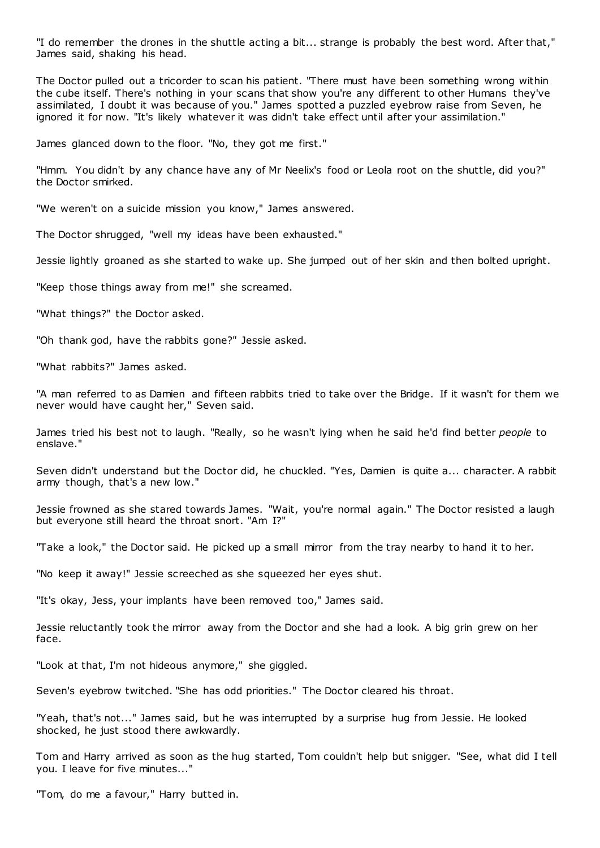"I do remember the drones in the shuttle acting a bit... strange is probably the best word. After that," James said, shaking his head.

The Doctor pulled out a tricorder to scan his patient. "There must have been something wrong within the cube itself. There's nothing in your scans that show you're any different to other Humans they've assimilated, I doubt it was because of you." James spotted a puzzled eyebrow raise from Seven, he ignored it for now. "It's likely whatever it was didn't take effect until after your assimilation."

James glanced down to the floor. "No, they got me first."

"Hmm. You didn't by any chance have any of Mr Neelix's food or Leola root on the shuttle, did you?" the Doctor smirked.

"We weren't on a suicide mission you know," James answered.

The Doctor shrugged, "well my ideas have been exhausted."

Jessie lightly groaned as she started to wake up. She jumped out of her skin and then bolted upright.

"Keep those things away from me!" she screamed.

"What things?" the Doctor asked.

"Oh thank god, have the rabbits gone?" Jessie asked.

"What rabbits?" James asked.

"A man referred to as Damien and fifteen rabbits tried to take over the Bridge. If it wasn't for them we never would have caught her," Seven said.

James tried his best not to laugh. "Really, so he wasn't lying when he said he'd find better *people* to enslave."

Seven didn't understand but the Doctor did, he chuckled. "Yes, Damien is quite a... character. A rabbit army though, that's a new low."

Jessie frowned as she stared towards James. "Wait, you're normal again." The Doctor resisted a laugh but everyone still heard the throat snort. "Am I?"

"Take a look," the Doctor said. He picked up a small mirror from the tray nearby to hand it to her.

"No keep it away!" Jessie screeched as she squeezed her eyes shut.

"It's okay, Jess, your implants have been removed too," James said.

Jessie reluctantly took the mirror away from the Doctor and she had a look. A big grin grew on her face.

"Look at that, I'm not hideous anymore," she giggled.

Seven's eyebrow twitched. "She has odd priorities." The Doctor cleared his throat.

"Yeah, that's not..." James said, but he was interrupted by a surprise hug from Jessie. He looked shocked, he just stood there awkwardly.

Tom and Harry arrived as soon as the hug started, Tom couldn't help but snigger. "See, what did I tell you. I leave for five minutes..."

"Tom, do me a favour," Harry butted in.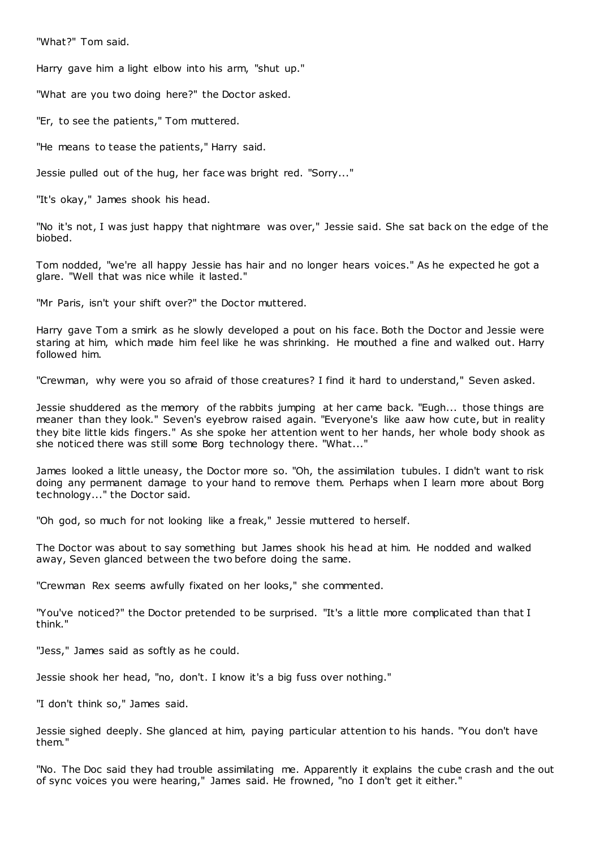"What?" Tom said.

Harry gave him a light elbow into his arm, "shut up."

"What are you two doing here?" the Doctor asked.

"Er, to see the patients," Tom muttered.

"He means to tease the patients," Harry said.

Jessie pulled out of the hug, her face was bright red. "Sorry..."

"It's okay," James shook his head.

"No it's not, I was just happy that nightmare was over," Jessie said. She sat back on the edge of the biobed.

Tom nodded, "we're all happy Jessie has hair and no longer hears voices." As he expected he got a glare. "Well that was nice while it lasted."

"Mr Paris, isn't your shift over?" the Doctor muttered.

Harry gave Tom a smirk as he slowly developed a pout on his face. Both the Doctor and Jessie were staring at him, which made him feel like he was shrinking. He mouthed a fine and walked out. Harry followed him.

"Crewman, why were you so afraid of those creatures? I find it hard to understand," Seven asked.

Jessie shuddered as the memory of the rabbits jumping at her came back. "Eugh... those things are meaner than they look." Seven's eyebrow raised again. "Everyone's like aaw how cute, but in reality they bite little kids fingers." As she spoke her attention went to her hands, her whole body shook as she noticed there was still some Borg technology there. "What..."

James looked a little uneasy, the Doctor more so. "Oh, the assimilation tubules. I didn't want to risk doing any permanent damage to your hand to remove them. Perhaps when I learn more about Borg technology..." the Doctor said.

"Oh god, so much for not looking like a freak," Jessie muttered to herself.

The Doctor was about to say something but James shook his head at him. He nodded and walked away, Seven glanced between the two before doing the same.

"Crewman Rex seems awfully fixated on her looks," she commented.

"You've noticed?" the Doctor pretended to be surprised. "It's a little more complicated than that I think."

"Jess," James said as softly as he could.

Jessie shook her head, "no, don't. I know it's a big fuss over nothing."

"I don't think so," James said.

Jessie sighed deeply. She glanced at him, paying particular attention to his hands. "You don't have them."

"No. The Doc said they had trouble assimilating me. Apparently it explains the cube crash and the out of sync voices you were hearing," James said. He frowned, "no I don't get it either."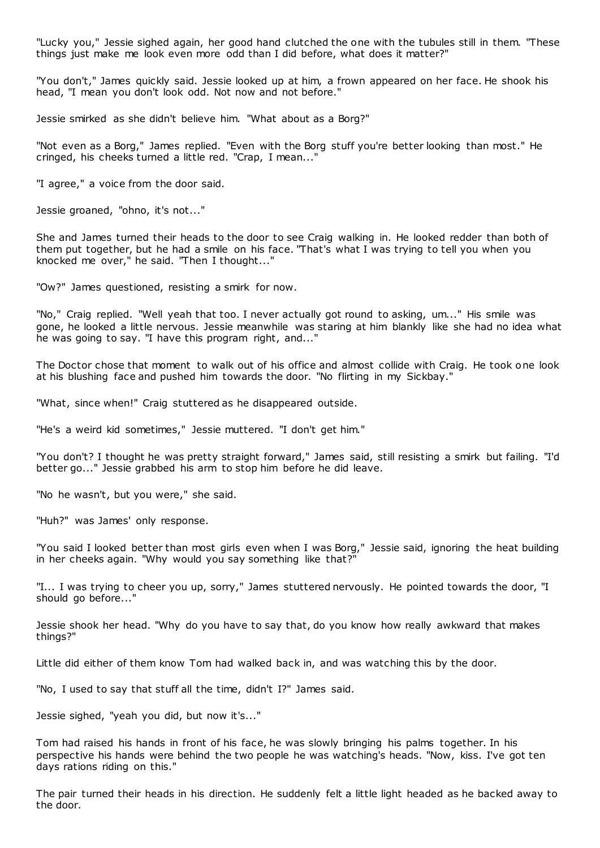"Lucky you," Jessie sighed again, her good hand clutched the one with the tubules still in them. "These things just make me look even more odd than I did before, what does it matter?"

"You don't," James quickly said. Jessie looked up at him, a frown appeared on her face. He shook his head, "I mean you don't look odd. Not now and not before."

Jessie smirked as she didn't believe him. "What about as a Borg?"

"Not even as a Borg," James replied. "Even with the Borg stuff you're better looking than most." He cringed, his cheeks turned a little red. "Crap, I mean..."

"I agree," a voice from the door said.

Jessie groaned, "ohno, it's not..."

She and James turned their heads to the door to see Craig walking in. He looked redder than both of them put together, but he had a smile on his face. "That's what I was trying to tell you when you knocked me over," he said. "Then I thought..."

"Ow?" James questioned, resisting a smirk for now.

"No," Craig replied. "Well yeah that too. I never actually got round to asking, um..." His smile was gone, he looked a little nervous. Jessie meanwhile was staring at him blankly like she had no idea what he was going to say. "I have this program right, and..."

The Doctor chose that moment to walk out of his office and almost collide with Craig. He took one look at his blushing face and pushed him towards the door. "No flirting in my Sickbay."

"What, since when!" Craig stuttered as he disappeared outside.

"He's a weird kid sometimes," Jessie muttered. "I don't get him."

"You don't? I thought he was pretty straight forward," James said, still resisting a smirk but failing. "I'd better go..." Jessie grabbed his arm to stop him before he did leave.

"No he wasn't, but you were," she said.

"Huh?" was James' only response.

"You said I looked better than most girls even when I was Borg," Jessie said, ignoring the heat building in her cheeks again. "Why would you say something like that?"

"I... I was trying to cheer you up, sorry," James stuttered nervously. He pointed towards the door, "I should go before..."

Jessie shook her head. "Why do you have to say that, do you know how really awkward that makes things?"

Little did either of them know Tom had walked back in, and was watching this by the door.

"No, I used to say that stuff all the time, didn't I?" James said.

Jessie sighed, "yeah you did, but now it's..."

Tom had raised his hands in front of his face, he was slowly bringing his palms together. In his perspective his hands were behind the two people he was watching's heads. "Now, kiss. I've got ten days rations riding on this."

The pair turned their heads in his direction. He suddenly felt a little light headed as he backed away to the door.